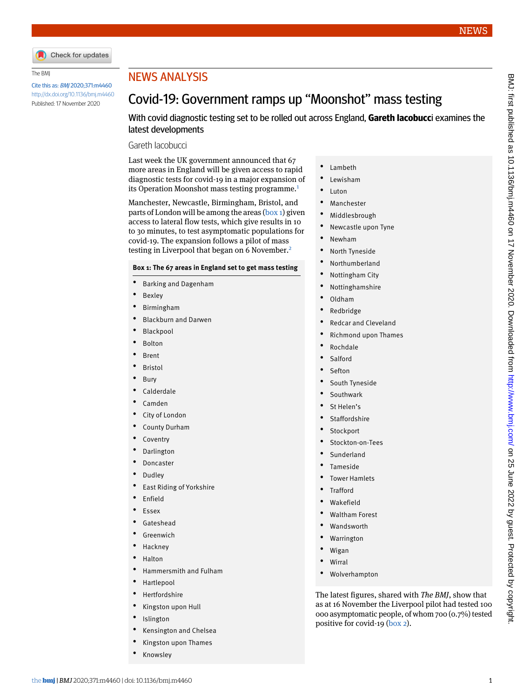

#### The BMJ

Cite this as: BMJ 2020;371:m4460 <http://dx.doi.org/10.1136/bmj.m4460> Published: 17 November 2020

# NEWS ANALYSIS

# Covid-19: Government ramps up "Moonshot" mass testing

With covid diagnostic testing set to be rolled out across England, **Gareth Iacobucc**i examines the latest developments

### Gareth Iacobucci

Last week the UK government announced that 67 more areas in England will be given access to rapid diagnostic tests for covid-19 in a major expansion of its Operation Moonshot mass testing programme.<sup>[1](#page-2-0)</sup>

Manchester, Newcastle, Birmingham, Bristol, and parts of London will be among the areas [\(box 1](#page-0-0)) given access to lateral flow tests, which give results in 10 to 30 minutes, to test asymptomatic populations for covid-19. The expansion follows a pilot of mass testing in Liverpool that began on 6 November.<sup>[2](#page-2-1)</sup>

#### <span id="page-0-0"></span>**Box 1: The 67 areas in England set to get mass testing**

- Barking and Dagenham
- **Bexley**
- Birmingham
- Blackburn and Darwen
- Blackpool
- **Bolton**
- **Brent**
- **Bristol**
- **Bury**
- **Calderdale**
- Camden
- City of London
- County Durham
- **Coventry**
- Darlington
- **Doncaster**
- Dudley
- East Riding of Yorkshire
- Enfield
- Essex
- **Gateshead**
- **Greenwich**
- **Hackney**
- Halton
- Hammersmith and Fulham
- Hartlepool
- Hertfordshire
- Kingston upon Hull
- **Islington**
- Kensington and Chelsea
- Kingston upon Thames
- **Knowsley**
- Lambeth
- Lewisham
- **Luton**
- **Manchester**
- Middlesbrough
- Newcastle upon Tyne
- Newham
- North Tyneside
- **Northumberland**
- Nottingham City
- Nottinghamshire
- Oldham
- Redbridge
- Redcar and Cleveland
- Richmond upon Thames
- Rochdale
- **Salford**
- **Sefton**
- South Tyneside
- **Southwark**
- St Helen's
- **Staffordshire**
- **Stockport**
- Stockton-on-Tees
- Sunderland
- Tameside
- Tower Hamlets
- **Trafford**
- Wakefield
- Waltham Forest
- **Wandsworth**
- Warrington
- Wigan
- **Wirral**
- Wolverhampton

The latest figures, shared with *The BMJ*, show that as at 16 November the Liverpool pilot had tested 100 000 asymptomatic people, of whom 700 (0.7%) tested positive for covid-19 ([box 2](#page-1-0)).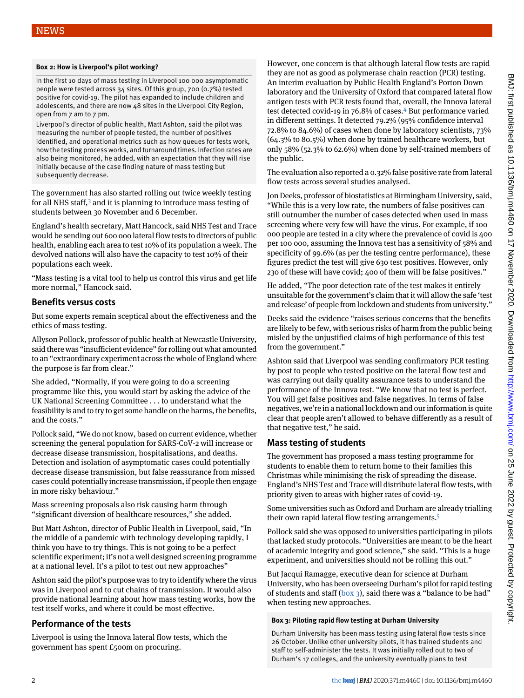#### <span id="page-1-0"></span>**Box 2: How is Liverpool's pilot working?**

In the first 10 days of mass testing in Liverpool 100 000 asymptomatic people were tested across 34 sites. Of this group, 700 (0.7%) tested positive for covid-19. The pilot has expanded to include children and adolescents, and there are now 48 sites in the Liverpool City Region, open from 7 am to 7 pm.

Liverpool's director of public health, Matt Ashton, said the pilot was measuring the number of people tested, the number of positives identified, and operational metrics such as how queues for tests work, how the testing process works, and turnaround times. Infection rates are also being monitored, he added, with an expectation that they will rise initially because of the case finding nature of mass testing but subsequently decrease.

The government has also started rolling out twice weekly testing for all NHS staff, $3$  and it is planning to introduce mass testing of students between 30 November and 6 December.

England's health secretary, Matt Hancock, said NHS Test and Trace would be sending out 600 000 lateral flow tests to directors of public health, enabling each area to test 10% of its population a week. The devolved nations will also have the capacity to test 10% of their populations each week.

"Mass testing is a vital tool to help us control this virus and get life more normal," Hancock said.

### **Benefits versus costs**

But some experts remain sceptical about the effectiveness and the ethics of mass testing.

Allyson Pollock, professor of public health at Newcastle University, said there was "insufficient evidence" for rolling out what amounted to an "extraordinary experiment across the whole of England where the purpose is far from clear."

She added, "Normally, if you were going to do a screening programme like this, you would start by asking the advice of the UK National Screening Committee . . . to understand what the feasibility is and to try to get some handle on the harms, the benefits, and the costs."

Pollock said, "We do not know, based on current evidence, whether screening the general population for SARS-CoV-2 will increase or decrease disease transmission, hospitalisations, and deaths. Detection and isolation of asymptomatic cases could potentially decrease disease transmission, but false reassurance from missed cases could potentially increase transmission, if people then engage in more risky behaviour."

Mass screening proposals also risk causing harm through "significant diversion of healthcare resources," she added.

But Matt Ashton, director of Public Health in Liverpool, said, "In the middle of a pandemic with technology developing rapidly, I think you have to try things. This is not going to be a perfect scientific experiment; it's not a well designed screening programme at a national level. It's a pilot to test out new approaches"

Ashton said the pilot's purpose was to try to identify where the virus was in Liverpool and to cut chains of transmission. It would also provide national learning about how mass testing works, how the test itself works, and where it could be most effective.

# **Performance of the tests**

Liverpool is using the Innova lateral flow tests, which the government has spent £500m on procuring.

However, one concern is that although lateral flow tests are rapid they are not as good as polymerase chain reaction (PCR) testing. An interim evaluation by Public Health England's Porton Down laboratory and the University of Oxford that compared lateral flow antigen tests with PCR tests found that, overall, the Innova lateral test detected covid-19 in 76.8% of cases.<sup>[4](#page-2-3)</sup> But performance varied in different settings. It detected 79.2% (95% confidence interval 72.8% to 84.6%) of cases when done by laboratory scientists, 73% (64.3% to 80.5%) when done by trained healthcare workers, but only 58% (52.3% to 62.6%) when done by self-trained members of the public.

The evaluation also reported a 0.32% false positive rate from lateral flow tests across several studies analysed.

Jon Deeks, professor of biostatistics at Birmingham University, said, "While this is a very low rate, the numbers of false positives can still outnumber the number of cases detected when used in mass screening where very few will have the virus. For example, if 100 000 people are tested in a city where the prevalence of covid is 400 per 100 000, assuming the Innova test has a sensitivity of 58% and specificity of 99.6% (as per the testing centre performance), these figures predict the test will give 630 test positives. However, only 230 of these will have covid; 400 of them will be false positives."

He added, "The poor detection rate of the test makes it entirely unsuitable for the government's claim that it will allow the safe 'test and release' of people from lockdown and students from university."

Deeks said the evidence "raises serious concerns that the benefits are likely to be few, with serious risks of harm from the public being misled by the unjustified claims of high performance of this test from the government."

Ashton said that Liverpool was sending confirmatory PCR testing by post to people who tested positive on the lateral flow test and was carrying out daily quality assurance tests to understand the performance of the Innova test. "We know that no test is perfect. You will get false positives and false negatives. In terms of false negatives, we're in a national lockdown and our information is quite clear that people aren't allowed to behave differently as a result of that negative test," he said.

# **Mass testing of students**

The government has proposed a mass testing programme for students to enable them to return home to their families this Christmas while minimising the risk of spreading the disease. England's NHS Test and Trace will distribute lateral flow tests, with priority given to areas with higher rates of covid-19.

Some universities such as Oxford and Durham are already trialling their own rapid lateral flow testing arrangements.[5](#page-2-4)

Pollock said she was opposed to universities participating in pilots that lacked study protocols. "Universities are meant to be the heart of academic integrity and good science," she said. "This is a huge experiment, and universities should not be rolling this out."

<span id="page-1-1"></span>But Jacqui Ramagge, executive dean for science at Durham University, who has been overseeing Durham's pilot for rapid testing of students and staff ([box 3\)](#page-1-1), said there was a "balance to be had" when testing new approaches.

#### **Box 3: Piloting rapid flow testing at Durham University**

Durham University has been mass testing using lateral flow tests since 26 October. Unlike other university pilots, it has trained students and staff to self-administer the tests. It was initially rolled out to two of Durham's 17 colleges, and the university eventually plans to test